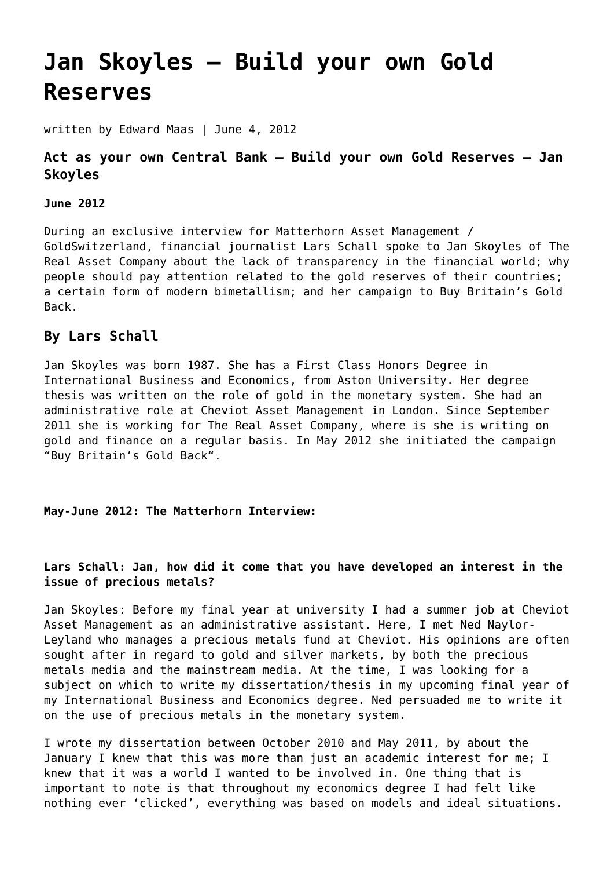# **[Jan Skoyles – Build your own Gold](https://goldswitzerland.com/jan-skoyles-build-your-own-gold-reserves/) [Reserves](https://goldswitzerland.com/jan-skoyles-build-your-own-gold-reserves/)**

written by Edward Maas | June 4, 2012

## **Act as your own Central Bank – Build your own Gold Reserves – Jan Skoyles**

#### **June 2012**

During an exclusive interview for Matterhorn Asset Management / GoldSwitzerland, financial journalist Lars Schall spoke to Jan Skoyles of The Real Asset Company about the lack of transparency in the financial world; why people should pay attention related to the gold reserves of their countries; a certain form of modern bimetallism; and her campaign to Buy Britain's Gold Back.

## **By Lars Schall**

Jan Skoyles was born 1987. She has a First Class Honors Degree in International Business and Economics, from Aston University. Her degree thesis was written on the role of gold in the monetary system. She had an administrative role at Cheviot Asset Management in London. Since September 2011 she is working for The Real Asset Company, where is she is writing on gold and finance on a regular basis. In May 2012 she initiated the campaign ["Buy Britain's Gold Back](http://therealasset.co.uk/buy-britains-gold-back/)".

**May-June 2012: The Matterhorn Interview:**

#### **Lars Schall: Jan, how did it come that you have developed an interest in the issue of precious metals?**

Jan Skoyles: Before my final year at university I had a summer job at Cheviot Asset Management as an administrative assistant. Here, I met Ned Naylor-Leyland who manages a precious metals fund at Cheviot. His opinions are often sought after in regard to gold and silver markets, by both the precious metals media and the mainstream media. At the time, I was looking for a subject on which to write my dissertation/thesis in my upcoming final year of my International Business and Economics degree. Ned persuaded me to write it on the use of precious metals in the monetary system.

I wrote my dissertation between October 2010 and May 2011, by about the January I knew that this was more than just an academic interest for me; I knew that it was a world I wanted to be involved in. One thing that is important to note is that throughout my economics degree I had felt like nothing ever 'clicked', everything was based on models and ideal situations.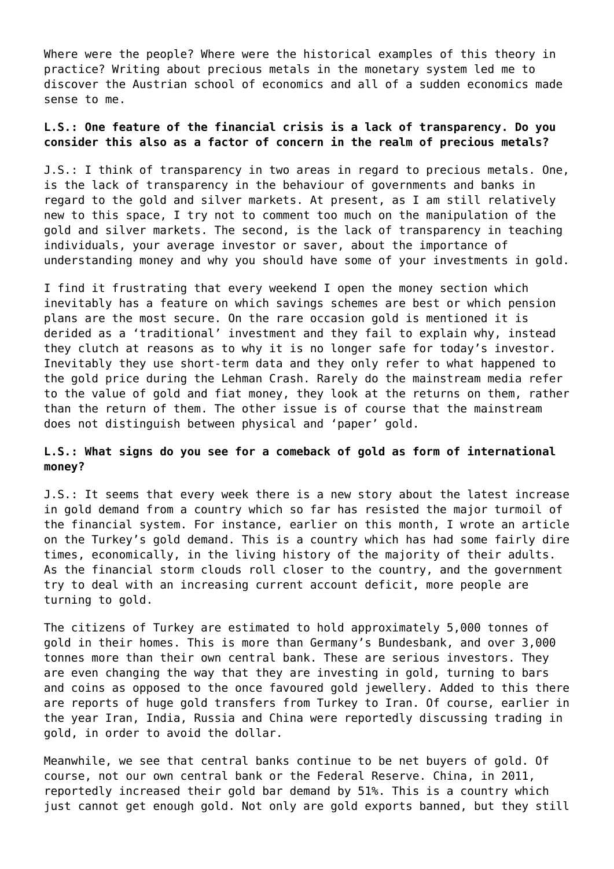Where were the people? Where were the historical examples of this theory in practice? Writing about precious metals in the monetary system led me to discover the Austrian school of economics and all of a sudden economics made sense to me.

## **L.S.: One feature of the financial crisis is a lack of transparency. Do you consider this also as a factor of concern in the realm of precious metals?**

J.S.: I think of transparency in two areas in regard to precious metals. One, is the lack of transparency in the behaviour of governments and banks in regard to the gold and silver markets. At present, as I am still relatively new to this space, I try not to comment too much on the manipulation of the gold and silver markets. The second, is the lack of transparency in teaching individuals, your average investor or saver, about the importance of understanding money and why you should have some of your investments in gold.

I find it frustrating that every weekend I open the money section which inevitably has a feature on which savings schemes are best or which pension plans are the most secure. On the rare occasion gold is mentioned it is derided as a 'traditional' investment and they fail to explain why, instead they clutch at reasons as to why it is no longer safe for today's investor. Inevitably they use short-term data and they only refer to what happened to the gold price during the Lehman Crash. Rarely do the mainstream media refer to the value of gold and fiat money, they look at the returns on them, rather than the return of them. The other issue is of course that the mainstream does not distinguish between physical and 'paper' gold.

#### **L.S.: What signs do you see for a comeback of gold as form of international money?**

J.S.: It seems that every week there is a new story about the latest increase in gold demand from a country which so far has resisted the major turmoil of the financial system. For instance, earlier on this month, I wrote an article on the Turkey's gold demand. This is a country which has had some fairly dire times, economically, in the living history of the majority of their adults. As the financial storm clouds roll closer to the country, and the government try to deal with an increasing current account deficit, more people are turning to gold.

The citizens of Turkey are estimated to hold approximately 5,000 tonnes of gold in their homes. This is more than Germany's Bundesbank, and over 3,000 tonnes more than their own central bank. These are serious investors. They are even changing the way that they are investing in gold, turning to bars and coins as opposed to the once favoured gold jewellery. Added to this there are reports of huge gold transfers from Turkey to Iran. Of course, earlier in the year Iran, India, Russia and China were reportedly discussing trading in gold, in order to avoid the dollar.

Meanwhile, we see that central banks continue to be net buyers of gold. Of course, not our own central bank or the Federal Reserve. China, in 2011, reportedly increased their gold bar demand by 51%. This is a country which just cannot get enough gold. Not only are gold exports banned, but they still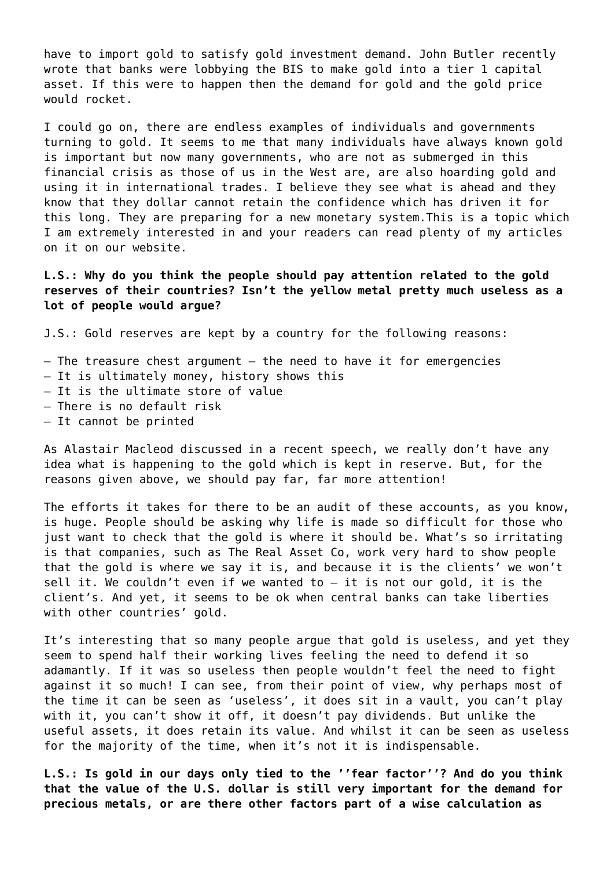have to import gold to satisfy gold investment demand. John Butler recently wrote that banks were lobbying the BIS to make gold into a tier 1 capital asset. If this were to happen then the demand for gold and the gold price would rocket.

I could go on, there are endless examples of individuals and governments turning to gold. It seems to me that many individuals have always known gold is important but now many governments, who are not as submerged in this financial crisis as those of us in the West are, are also hoarding gold and using it in international trades. I believe they see what is ahead and they know that they dollar cannot retain the confidence which has driven it for this long. They are preparing for a new monetary system.This is a topic which I am extremely interested in and your readers can read plenty of my articles on it on our website.

**L.S.: Why do you think the people should pay attention related to the gold reserves of their countries? Isn't the yellow metal pretty much useless as a lot of people would argue?**

J.S.: Gold reserves are kept by a country for the following reasons:

- $-$  The treasure chest argument  $-$  the need to have it for emergencies
- It is ultimately money, history shows this
- It is the ultimate store of value
- There is no default risk
- It cannot be printed

As Alastair Macleod discussed in a recent speech, we really don't have any idea what is happening to the gold which is kept in reserve. But, for the reasons given above, we should pay far, far more attention!

The efforts it takes for there to be an audit of these accounts, as you know, is huge. People should be asking why life is made so difficult for those who just want to check that the gold is where it should be. What's so irritating is that companies, such as The Real Asset Co, work very hard to show people that the gold is where we say it is, and because it is the clients' we won't sell it. We couldn't even if we wanted to  $-$  it is not our gold, it is the client's. And yet, it seems to be ok when central banks can take liberties with other countries' gold.

It's interesting that so many people argue that gold is useless, and yet they seem to spend half their working lives feeling the need to defend it so adamantly. If it was so useless then people wouldn't feel the need to fight against it so much! I can see, from their point of view, why perhaps most of the time it can be seen as 'useless', it does sit in a vault, you can't play with it, you can't show it off, it doesn't pay dividends. But unlike the useful assets, it does retain its value. And whilst it can be seen as useless for the majority of the time, when it's not it is indispensable.

**L.S.: Is gold in our days only tied to the ''fear factor''? And do you think that the value of the U.S. dollar is still very important for the demand for precious metals, or are there other factors part of a wise calculation as**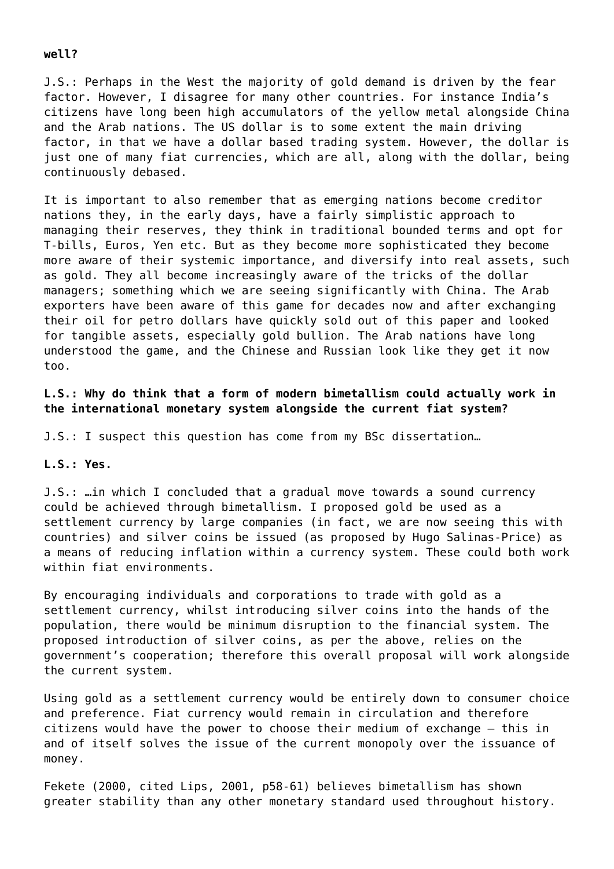#### **well?**

J.S.: Perhaps in the West the majority of gold demand is driven by the fear factor. However, I disagree for many other countries. For instance India's citizens have long been high accumulators of the yellow metal alongside China and the Arab nations. The US dollar is to some extent the main driving factor, in that we have a dollar based trading system. However, the dollar is just one of many fiat currencies, which are all, along with the dollar, being continuously debased.

It is important to also remember that as emerging nations become creditor nations they, in the early days, have a fairly simplistic approach to managing their reserves, they think in traditional bounded terms and opt for T-bills, Euros, Yen etc. But as they become more sophisticated they become more aware of their systemic importance, and diversify into real assets, such as gold. They all become increasingly aware of the tricks of the dollar managers; something which we are seeing significantly with China. The Arab exporters have been aware of this game for decades now and after exchanging their oil for petro dollars have quickly sold out of this paper and looked for tangible assets, especially gold bullion. The Arab nations have long understood the game, and the Chinese and Russian look like they get it now too.

**L.S.: Why do think that a form of modern bimetallism could actually work in the international monetary system alongside the current fiat system?**

J.S.: I suspect this question has come from my BSc dissertation…

#### **L.S.: Yes.**

J.S.: …in which I concluded that a gradual move towards a sound currency could be achieved through bimetallism. I proposed gold be used as a settlement currency by large companies (in fact, we are now seeing this with countries) and silver coins be issued (as proposed by Hugo Salinas-Price) as a means of reducing inflation within a currency system. These could both work within fiat environments.

By encouraging individuals and corporations to trade with gold as a settlement currency, whilst introducing silver coins into the hands of the population, there would be minimum disruption to the financial system. The proposed introduction of silver coins, as per the above, relies on the government's cooperation; therefore this overall proposal will work alongside the current system.

Using gold as a settlement currency would be entirely down to consumer choice and preference. Fiat currency would remain in circulation and therefore citizens would have the power to choose their medium of exchange – this in and of itself solves the issue of the current monopoly over the issuance of money.

Fekete (2000, cited Lips, 2001, p58-61) believes bimetallism has shown greater stability than any other monetary standard used throughout history.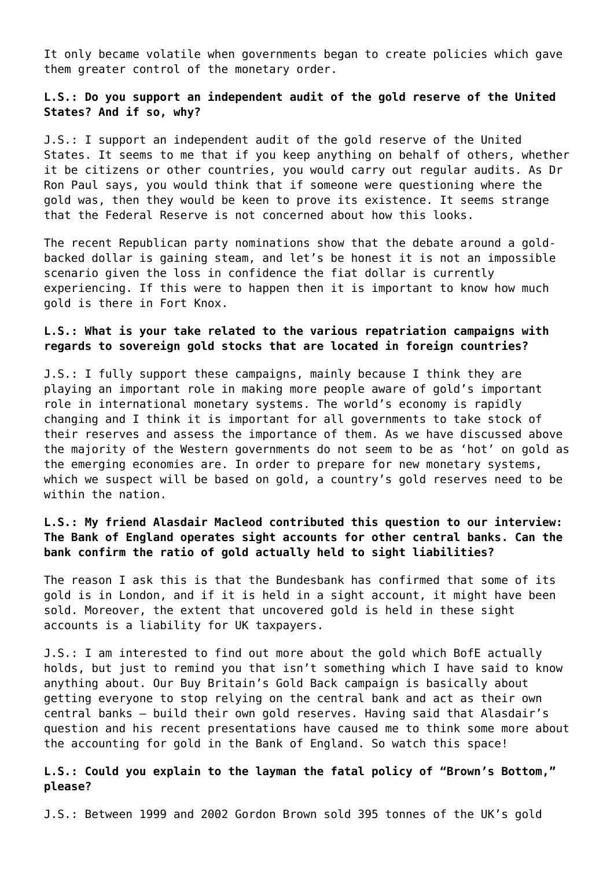It only became volatile when governments began to create policies which gave them greater control of the monetary order.

#### **L.S.: Do you support an independent audit of the gold reserve of the United States? And if so, why?**

J.S.: I support an independent audit of the gold reserve of the United States. It seems to me that if you keep anything on behalf of others, whether it be citizens or other countries, you would carry out regular audits. As Dr Ron Paul says, you would think that if someone were questioning where the gold was, then they would be keen to prove its existence. It seems strange that the Federal Reserve is not concerned about how this looks.

The recent Republican party nominations show that the debate around a goldbacked dollar is gaining steam, and let's be honest it is not an impossible scenario given the loss in confidence the fiat dollar is currently experiencing. If this were to happen then it is important to know how much gold is there in Fort Knox.

#### **L.S.: What is your take related to the various repatriation campaigns with regards to sovereign gold stocks that are located in foreign countries?**

J.S.: I fully support these campaigns, mainly because I think they are playing an important role in making more people aware of gold's important role in international monetary systems. The world's economy is rapidly changing and I think it is important for all governments to take stock of their reserves and assess the importance of them. As we have discussed above the majority of the Western governments do not seem to be as 'hot' on gold as the emerging economies are. In order to prepare for new monetary systems, which we suspect will be based on gold, a country's gold reserves need to be within the nation.

## **L.S.: My friend Alasdair Macleod contributed this question to our interview: The Bank of England operates sight accounts for other central banks. Can the bank confirm the ratio of gold actually held to sight liabilities?**

The reason I ask this is that the Bundesbank has confirmed that some of its gold is in London, and if it is held in a sight account, it might have been sold. Moreover, the extent that uncovered gold is held in these sight accounts is a liability for UK taxpayers.

J.S.: I am interested to find out more about the gold which BofE actually holds, but just to remind you that isn't something which I have said to know anything about. Our Buy Britain's Gold Back campaign is basically about getting everyone to stop relying on the central bank and act as their own central banks – build their own gold reserves. Having said that Alasdair's question and his recent presentations have caused me to think some more about the accounting for gold in the Bank of England. So watch this space!

#### **L.S.: Could you explain to the layman the fatal policy of "Brown's Bottom," please?**

J.S.: Between 1999 and 2002 Gordon Brown sold 395 tonnes of the UK's gold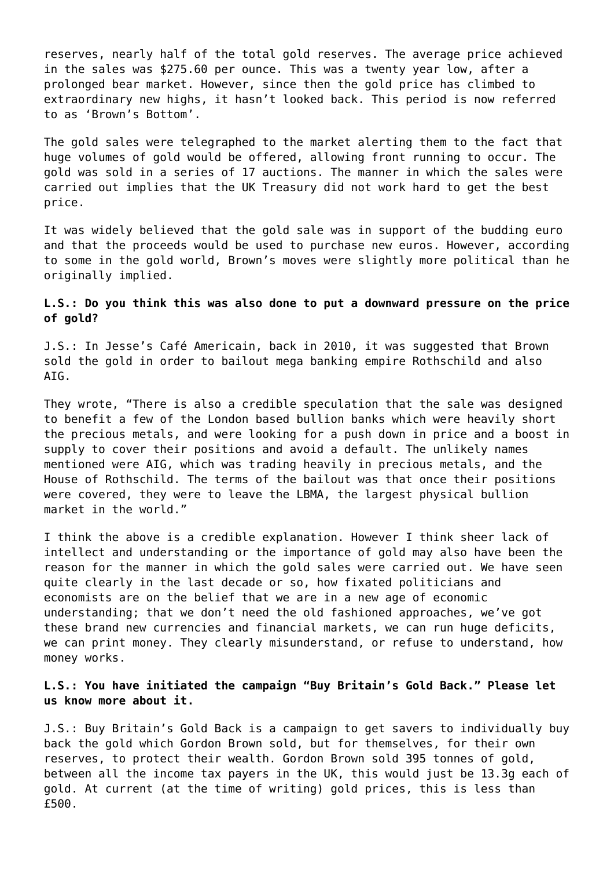reserves, nearly half of the total gold reserves. The average price achieved in the sales was \$275.60 per ounce. This was a twenty year low, after a prolonged bear market. However, since then the gold price has climbed to extraordinary new highs, it hasn't looked back. This period is now referred to as 'Brown's Bottom'.

The gold sales were telegraphed to the market alerting them to the fact that huge volumes of gold would be offered, allowing front running to occur. The gold was sold in a series of 17 auctions. The manner in which the sales were carried out implies that the UK Treasury did not work hard to get the best price.

It was widely believed that the gold sale was in support of the budding euro and that the proceeds would be used to purchase new euros. However, according to some in the gold world, Brown's moves were slightly more political than he originally implied.

#### **L.S.: Do you think this was also done to put a downward pressure on the price of gold?**

J.S.: In Jesse's Café Americain, back in 2010, it was suggested that Brown sold the gold in order to bailout mega banking empire Rothschild and also AIG.

They wrote, "There is also a credible speculation that the sale was designed to benefit a few of the London based bullion banks which were heavily short the precious metals, and were looking for a push down in price and a boost in supply to cover their positions and avoid a default. The unlikely names mentioned were AIG, which was trading heavily in precious metals, and the House of Rothschild. The terms of the bailout was that once their positions were covered, they were to leave the LBMA, the largest physical bullion market in the world."

I think the above is a credible explanation. However I think sheer lack of intellect and understanding or the importance of gold may also have been the reason for the manner in which the gold sales were carried out. We have seen quite clearly in the last decade or so, how fixated politicians and economists are on the belief that we are in a new age of economic understanding; that we don't need the old fashioned approaches, we've got these brand new currencies and financial markets, we can run huge deficits, we can print money. They clearly misunderstand, or refuse to understand, how money works.

#### **L.S.: You have initiated the campaign "Buy Britain's Gold Back." Please let us know more about it.**

J.S.: Buy Britain's Gold Back is a campaign to get savers to individually buy back the gold which Gordon Brown sold, but for themselves, for their own reserves, to protect their wealth. Gordon Brown sold 395 tonnes of gold, between all the income tax payers in the UK, this would just be 13.3g each of gold. At current (at the time of writing) gold prices, this is less than £500.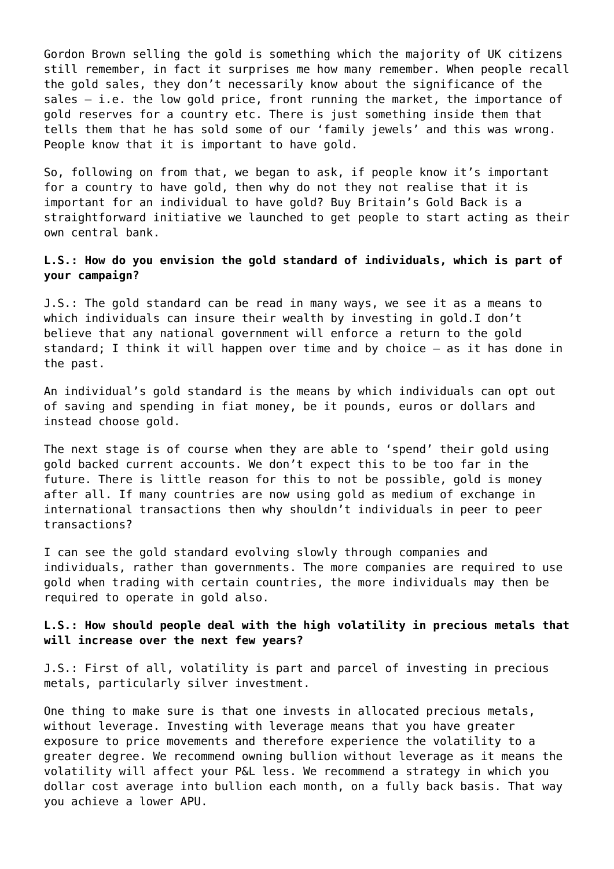Gordon Brown selling the gold is something which the majority of UK citizens still remember, in fact it surprises me how many remember. When people recall the gold sales, they don't necessarily know about the significance of the sales – i.e. the low gold price, front running the market, the importance of gold reserves for a country etc. There is just something inside them that tells them that he has sold some of our 'family jewels' and this was wrong. People know that it is important to have gold.

So, following on from that, we began to ask, if people know it's important for a country to have gold, then why do not they not realise that it is important for an individual to have gold? Buy Britain's Gold Back is a straightforward initiative we launched to get people to start acting as their own central bank.

#### **L.S.: How do you envision the gold standard of individuals, which is part of your campaign?**

J.S.: The gold standard can be read in many ways, we see it as a means to which individuals can insure their wealth by investing in gold.I don't believe that any national government will enforce a return to the gold standard; I think it will happen over time and by choice – as it has done in the past.

An individual's gold standard is the means by which individuals can opt out of saving and spending in fiat money, be it pounds, euros or dollars and instead choose gold.

The next stage is of course when they are able to 'spend' their gold using gold backed current accounts. We don't expect this to be too far in the future. There is little reason for this to not be possible, gold is money after all. If many countries are now using gold as medium of exchange in international transactions then why shouldn't individuals in peer to peer transactions?

I can see the gold standard evolving slowly through companies and individuals, rather than governments. The more companies are required to use gold when trading with certain countries, the more individuals may then be required to operate in gold also.

#### **L.S.: How should people deal with the high volatility in precious metals that will increase over the next few years?**

J.S.: First of all, volatility is part and parcel of investing in precious metals, particularly silver investment.

One thing to make sure is that one invests in allocated precious metals, without leverage. Investing with leverage means that you have greater exposure to price movements and therefore experience the volatility to a greater degree. We recommend owning bullion without leverage as it means the volatility will affect your P&L less. We recommend a strategy in which you dollar cost average into bullion each month, on a fully back basis. That way you achieve a lower APU.